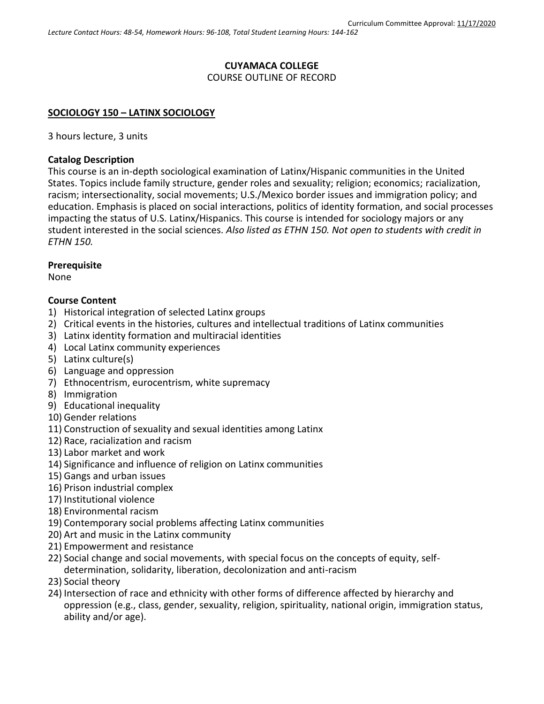## **CUYAMACA COLLEGE** COURSE OUTLINE OF RECORD

### **SOCIOLOGY 150 – LATINX SOCIOLOGY**

3 hours lecture, 3 units

### **Catalog Description**

This course is an in-depth sociological examination of Latinx/Hispanic communities in the United States. Topics include family structure, gender roles and sexuality; religion; economics; racialization, racism; intersectionality, social movements; U.S./Mexico border issues and immigration policy; and education. Emphasis is placed on social interactions, politics of identity formation, and social processes impacting the status of U.S. Latinx/Hispanics. This course is intended for sociology majors or any student interested in the social sciences. *Also listed as ETHN 150. Not open to students with credit in ETHN 150.*

#### **Prerequisite**

None

### **Course Content**

- 1) Historical integration of selected Latinx groups
- 2) Critical events in the histories, cultures and intellectual traditions of Latinx communities
- 3) Latinx identity formation and multiracial identities
- 4) Local Latinx community experiences
- 5) Latinx culture(s)
- 6) Language and oppression
- 7) Ethnocentrism, eurocentrism, white supremacy
- 8) Immigration
- 9) Educational inequality
- 10) Gender relations
- 11) Construction of sexuality and sexual identities among Latinx
- 12) Race, racialization and racism
- 13) Labor market and work
- 14) Significance and influence of religion on Latinx communities
- 15) Gangs and urban issues
- 16) Prison industrial complex
- 17) Institutional violence
- 18) Environmental racism
- 19) Contemporary social problems affecting Latinx communities
- 20) Art and music in the Latinx community
- 21) Empowerment and resistance
- 22) Social change and social movements, with special focus on the concepts of equity, selfdetermination, solidarity, liberation, decolonization and anti-racism
- 23) Social theory
- 24) Intersection of race and ethnicity with other forms of difference affected by hierarchy and oppression (e.g., class, gender, sexuality, religion, spirituality, national origin, immigration status, ability and/or age).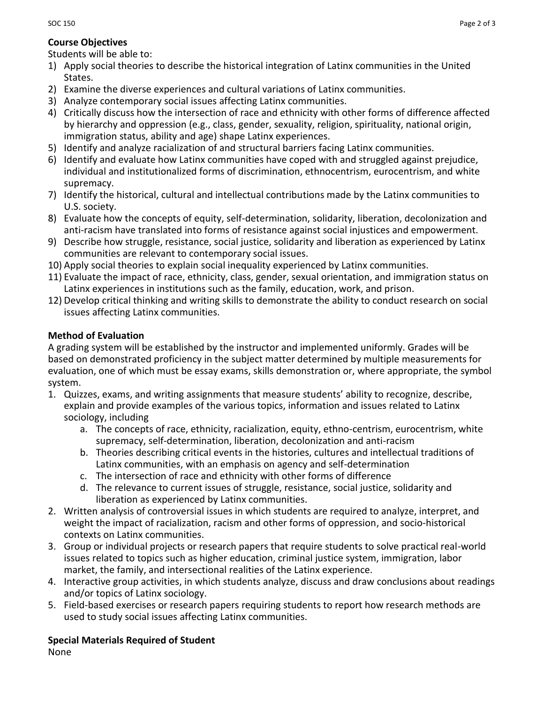## **Course Objectives**

Students will be able to:

- 1) Apply social theories to describe the historical integration of Latinx communities in the United States.
- 2) Examine the diverse experiences and cultural variations of Latinx communities.
- 3) Analyze contemporary social issues affecting Latinx communities.
- 4) Critically discuss how the intersection of race and ethnicity with other forms of difference affected by hierarchy and oppression (e.g., class, gender, sexuality, religion, spirituality, national origin, immigration status, ability and age) shape Latinx experiences.
- 5) Identify and analyze racialization of and structural barriers facing Latinx communities.
- 6) Identify and evaluate how Latinx communities have coped with and struggled against prejudice, individual and institutionalized forms of discrimination, ethnocentrism, eurocentrism, and white supremacy.
- 7) Identify the historical, cultural and intellectual contributions made by the Latinx communities to U.S. society.
- 8) Evaluate how the concepts of equity, self-determination, solidarity, liberation, decolonization and anti-racism have translated into forms of resistance against social injustices and empowerment.
- 9) Describe how struggle, resistance, social justice, solidarity and liberation as experienced by Latinx communities are relevant to contemporary social issues.
- 10) Apply social theories to explain social inequality experienced by Latinx communities.
- 11) Evaluate the impact of race, ethnicity, class, gender, sexual orientation, and immigration status on Latinx experiences in institutions such as the family, education, work, and prison.
- 12) Develop critical thinking and writing skills to demonstrate the ability to conduct research on social issues affecting Latinx communities.

# **Method of Evaluation**

A grading system will be established by the instructor and implemented uniformly. Grades will be based on demonstrated proficiency in the subject matter determined by multiple measurements for evaluation, one of which must be essay exams, skills demonstration or, where appropriate, the symbol system.

- 1. Quizzes, exams, and writing assignments that measure students' ability to recognize, describe, explain and provide examples of the various topics, information and issues related to Latinx sociology, including
	- a. The concepts of race, ethnicity, racialization, equity, ethno-centrism, eurocentrism, white supremacy, self-determination, liberation, decolonization and anti-racism
	- b. Theories describing critical events in the histories, cultures and intellectual traditions of Latinx communities, with an emphasis on agency and self-determination
	- c. The intersection of race and ethnicity with other forms of difference
	- d. The relevance to current issues of struggle, resistance, social justice, solidarity and liberation as experienced by Latinx communities.
- 2. Written analysis of controversial issues in which students are required to analyze, interpret, and weight the impact of racialization, racism and other forms of oppression, and socio-historical contexts on Latinx communities.
- 3. Group or individual projects or research papers that require students to solve practical real-world issues related to topics such as higher education, criminal justice system, immigration, labor market, the family, and intersectional realities of the Latinx experience.
- 4. Interactive group activities, in which students analyze, discuss and draw conclusions about readings and/or topics of Latinx sociology.
- 5. Field-based exercises or research papers requiring students to report how research methods are used to study social issues affecting Latinx communities.

## **Special Materials Required of Student**

None